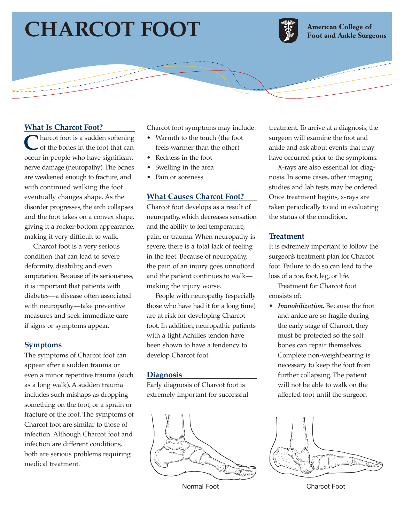# **CHARCOT FOOT**



**American College of Foot and Ankle Surgeons** 

## **What Is Charcot Foot?**

**Tharcot foot is a sudden softening** of the bones in the foot that can occur in people who have significant nerve damage (neuropathy). The bones are weakened enough to fracture, and with continued walking the foot eventually changes shape. As the disorder progresses, the arch collapses and the foot takes on a convex shape, giving it a rocker-bottom appearance, making it very difficult to walk.

Charcot foot is a very serious condition that can lead to severe deformity, disability, and even amputation. Because of its seriousness, it is important that patients with diabetes—a disease often associated with neuropathy—take preventive measures and seek immediate care if signs or symptoms appear.

#### **Symptoms**

The symptoms of Charcot foot can appear after a sudden trauma or even a minor repetitive trauma (such as a long walk). A sudden trauma includes such mishaps as dropping something on the foot, or a sprain or fracture of the foot. The symptoms of Charcot foot are similar to those of infection. Although Charcot foot and infection are different conditions, both are serious problems requiring medical treatment.

Charcot foot symptoms may include:

- Warmth to the touch (the foot feels warmer than the other)
- Redness in the foot
- Swelling in the area
- Pain or soreness

#### **What Causes Charcot Foot?**

Charcot foot develops as a result of neuropathy, which decreases sensation and the ability to feel temperature, pain, or trauma. When neuropathy is severe, there is a total lack of feeling in the feet. Because of neuropathy, the pain of an injury goes unnoticed and the patient continues to walk making the injury worse.

People with neuropathy (especially those who have had it for a long time) are at risk for developing Charcot foot. In addition, neuropathic patients with a tight Achilles tendon have been shown to have a tendency to develop Charcot foot.

#### **Diagnosis**

Early diagnosis of Charcot foot is extremely important for successful



treatment. To arrive at a diagnosis, the surgeon will examine the foot and ankle and ask about events that may have occurred prior to the symptoms.

X-rays are also essential for diagnosis. In some cases, other imaging studies and lab tests may be ordered. Once treatment begins, x-rays are taken periodically to aid in evaluating the status of the condition.

#### **Treatment**

It is extremely important to follow the surgeon's treatment plan for Charcot foot. Failure to do so can lead to the loss of a toe, foot, leg, or life.

Treatment for Charcot foot consists of:

• *Immobilization.* Because the foot and ankle are so fragile during the early stage of Charcot, they must be protected so the soft bones can repair themselves. Complete non-weightbearing is necessary to keep the foot from further collapsing. The patient will not be able to walk on the affected foot until the surgeon



Normal Foot Charcot Foot